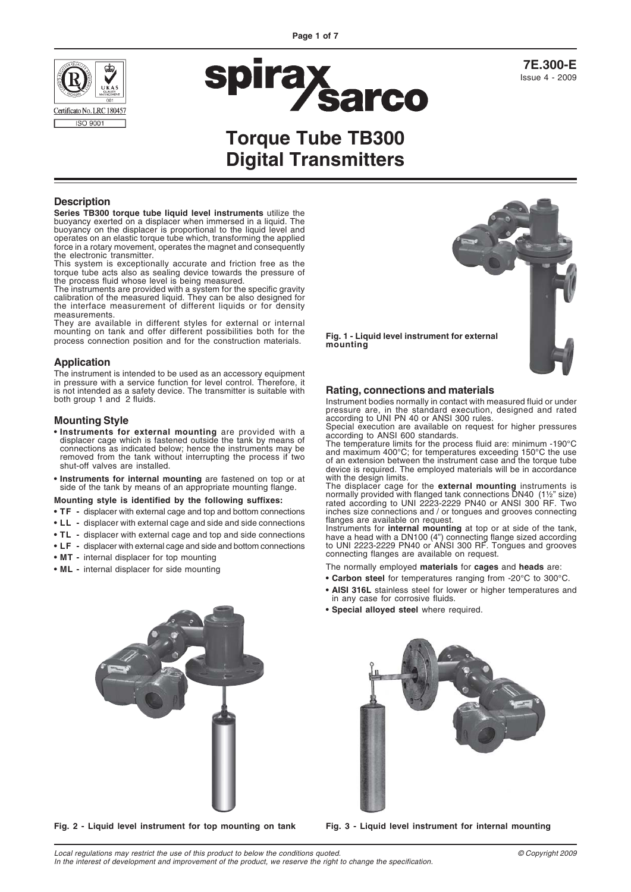



**7E.300-E** Issue 4 - 2009

# **Torque Tube TB300 Digital Transmitters**

**mounting**

#### **Description**

**Series TB300 torque tube liquid level instruments** utilize the buoyancy exerted on a displacer when immersed in a liquid. The buoyancy on the displacer is proportional to the liquid level and operates on an elastic torque tube which, transforming the applied force in a rotary movement, operates the magnet and consequently the electronic transmitter.

This system is exceptionally accurate and friction free as the torque tube acts also as sealing device towards the pressure of the process fluid whose level is being measured.

The instruments are provided with a system for the specific gravity calibration of the measured liquid. They can be also designed for the interface measurement of different liquids or for density measurements.

They are available in different styles for external or internal mounting on tank and offer different possibilities both for the process connection position and for the construction materials.

#### **Application**

The instrument is intended to be used as an accessory equipment in pressure with a service function for level control. Therefore, it is not intended as a safety device. The transmitter is suitable with both group 1 and 2 fluids.

#### **Mounting Style**

- **Instruments for external mounting** are provided with a displacer cage which is fastened outside the tank by means of connections as indicated below; hence the instruments may be removed from the tank without interrupting the process if two shut-off valves are installed.
- **Instruments for internal mounting** are fastened on top or at side of the tank by means of an appropriate mounting flange.

#### **Mounting style is identified by the following suffixes:**

- **TF -** displacer with external cage and top and bottom connections
- **LL -** displacer with external cage and side and side connections
- **TL -** displacer with external cage and top and side connections
- **LF -** displacer with external cage and side and bottom connections
- **MT -** internal displacer for top mounting
- **ML -** internal displacer for side mounting



#### **Rating, connections and materials**

Instrument bodies normally in contact with measured fluid or under pressure are, in the standard execution, designed and rated according to UNI PN 40 or ANSI 300 rules.

Special execution are available on request for higher pressures according to ANSI 600 standards. The temperature limits for the process fluid are: minimum -190°C

and maximum 400°C; for temperatures exceeding 150°C the use of an extension between the instrument case and the torque tube device is required. The employed materials will be in accordance with the design limits.

The displacer cage for the **external mounting** instruments is normally provided with flanged tank connections DN40 (1½" size) rated according to UNI 2223-2229 PN40 or ANSI 300 RF. Two inches size connections and / or tongues and grooves connecting flanges are available on request.

Instruments for **internal mounting** at top or at side of the tank, have a head with a DN100 (4") connecting flange sized according to UNI 2223-2229 PN40 or ANSI 300 RF. Tongues and grooves connecting flanges are available on request.

The normally employed **materials** for **cages** and **heads** are:

- **Carbon steel** for temperatures ranging from -20°C to 300°C.
- **AISI 316L** stainless steel for lower or higher temperatures and in any case for corrosive fluids.
- **Special alloyed steel** where required.



**Fig. 2 - Liquid level instrument for top mounting on tank Fig. 3 - Liquid level instrument for internal mounting**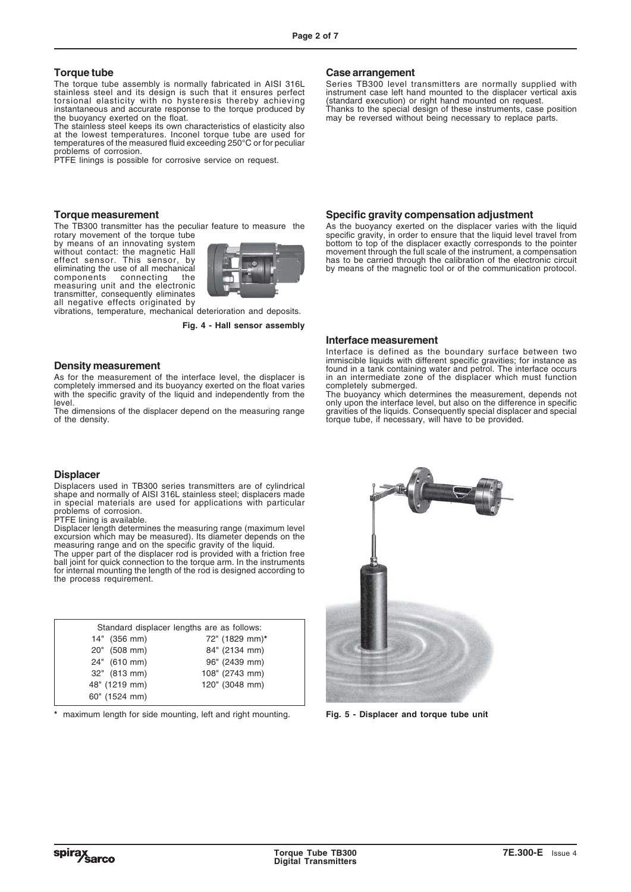#### **Torque tube**

The torque tube assembly is normally fabricated in AISI 316L stainless steel and its design is such that it ensures perfect torsional elasticity with no hysteresis thereby achieving instantaneous and accurate response to the torque produced by the buoyancy exerted on the float.

The stainless steel keeps its own characteristics of elasticity also at the lowest temperatures. Inconel torque tube are used for temperatures of the measured fluid exceeding 250°C or for peculiar problems of corrosion.

PTFE linings is possible for corrosive service on request.

#### **Torque measurement**

The TB300 transmitter has the peculiar feature to measure the rotary movement of the torque tube

by means of an innovating system without contact: the magnetic Hall effect sensor. This sensor, by eliminating the use of all mechanical components connecting the measuring unit and the electronic transmitter, consequently eliminates all negative effects originated by



vibrations, temperature, mechanical deterioration and deposits.

**Fig. 4 - Hall sensor assembly**

#### **Density measurement**

As for the measurement of the interface level, the displacer is completely immersed and its buoyancy exerted on the float varies with the specific gravity of the liquid and independently from the level.

The dimensions of the displacer depend on the measuring range of the density.

#### **Displacer**

Displacers used in TB300 series transmitters are of cylindrical shape and normally of AISI 316L stainless steel; displacers made in special materials are used for applications with particular problems of corrosion.

PTFE lining is available.

Displacer length determines the measuring range (maximum level excursion which may be measured). Its diameter depends on the measuring range and on the specific gravity of the liquid.

The upper part of the displacer rod is provided with a friction free ball joint for quick connection to the torque arm. In the instruments for internal mounting the length of the rod is designed according to the process requirement.

| Standard displacer lengths are as follows: |                |  |  |  |  |  |
|--------------------------------------------|----------------|--|--|--|--|--|
| 14" (356 mm)                               | 72" (1829 mm)* |  |  |  |  |  |
| 20" (508 mm)                               | 84" (2134 mm)  |  |  |  |  |  |
| 24" (610 mm)                               | 96" (2439 mm)  |  |  |  |  |  |
| 32" (813 mm)                               | 108" (2743 mm) |  |  |  |  |  |
| 48" (1219 mm)                              | 120" (3048 mm) |  |  |  |  |  |
| 60" (1524 mm)                              |                |  |  |  |  |  |

**\*** maximum length for side mounting, left and right mounting.

#### **Case arrangement**

Series TB300 level transmitters are normally supplied with instrument case left hand mounted to the displacer vertical axis (standard execution) or right hand mounted on request. Thanks to the special design of these instruments, case position may be reversed without being necessary to replace parts.

#### **Specific gravity compensation adjustment**

As the buoyancy exerted on the displacer varies with the liquid specific gravity, in order to ensure that the liquid level travel from bottom to top of the displacer exactly corresponds to the pointer movement through the full scale of the instrument, a compensation has to be carried through the calibration of the electronic circuit by means of the magnetic tool or of the communication protocol.

#### **Interface measurement**

Interface is defined as the boundary surface between two immiscible liquids with different specific gravities; for instance as found in a tank containing water and petrol. The interface occurs in an intermediate zone of the displacer which must function completely submerged.

The buoyancy which determines the measurement, depends not only upon the interface level, but also on the difference in specific gravities of the liquids. Consequently special displacer and special torque tube, if necessary, will have to be provided.



**Fig. 5 - Displacer and torque tube unit**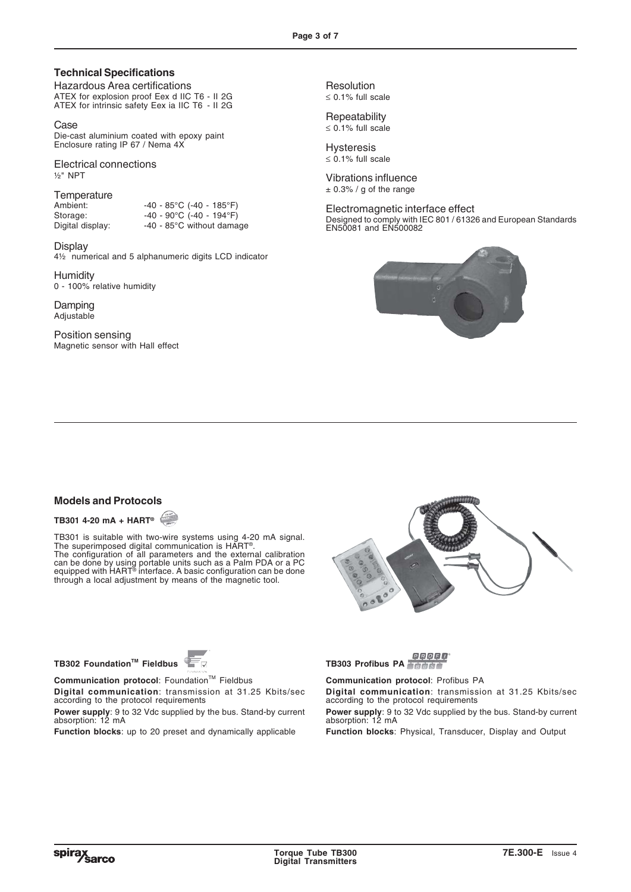## **Technical Specifications**

Hazardous Area certifications ATEX for explosion proof Eex d IIC T6 - II 2G ATEX for intrinsic safety Eex ia IIC T6 - II 2G

Case Die-cast aluminium coated with epoxy paint Enclosure rating IP 67 / Nema 4X

Electrical connections ½" NPT

# Temperature<br>Ambient:

Ambient: -40 - 85°C (-40 - 185°F)<br>Storage: -40 - 90°C (-40 - 194°F) Storage:  $-40 - 90^{\circ}C (40 - 194^{\circ}F)$ <br>Digital display:  $-40 - 85^{\circ}C$  without dama

Display 4½ numerical and 5 alphanumeric digits LCD indicator

-40 - 85°C without damage

**Humidity** 0 - 100% relative humidity

Damping Adjustable

Position sensing Magnetic sensor with Hall effect

Resolution ≤ 0.1% full scale

**Repeatability** ≤ 0.1% full scale

Hysteresis ≤ 0.1% full scale

Vibrations influence  $\pm$  0.3% / g of the range

Electromagnetic interface effect Designed to comply with IEC 801 / 61326 and European Standards EN50081 and EN500082



### **Models and Protocols**

**TB301 4-20 mA + HART®**

TB301 is suitable with two-wire systems using 4-20 mA signal. The superimposed digital communication is HART®. The configuration of all parameters and the external calibration can be done by using portable units such as a Palm PDA or a PC equipped with HART® interface. A basic configuration can be done through a local adjustment by means of the magnetic tool.



**TB302 FoundationTM Fieldbus**



**Communication protocol:** Foundation™ Fieldbus **Digital communication**: transmission at 31.25 Kbits/sec

according to the protocol requirements **Power supply**: 9 to 32 Vdc supplied by the bus. Stand-by current

absorption: 12 mA

**Function blocks**: up to 20 preset and dynamically applicable

PROFIL **TB303 Profibus PA**

**Communication protocol**: Profibus PA **Digital communication**: transmission at 31.25 Kbits/sec according to the protocol requirements **Power supply**: 9 to 32 Vdc supplied by the bus. Stand-by current absorption: 12 mA

**Function blocks**: Physical, Transducer, Display and Output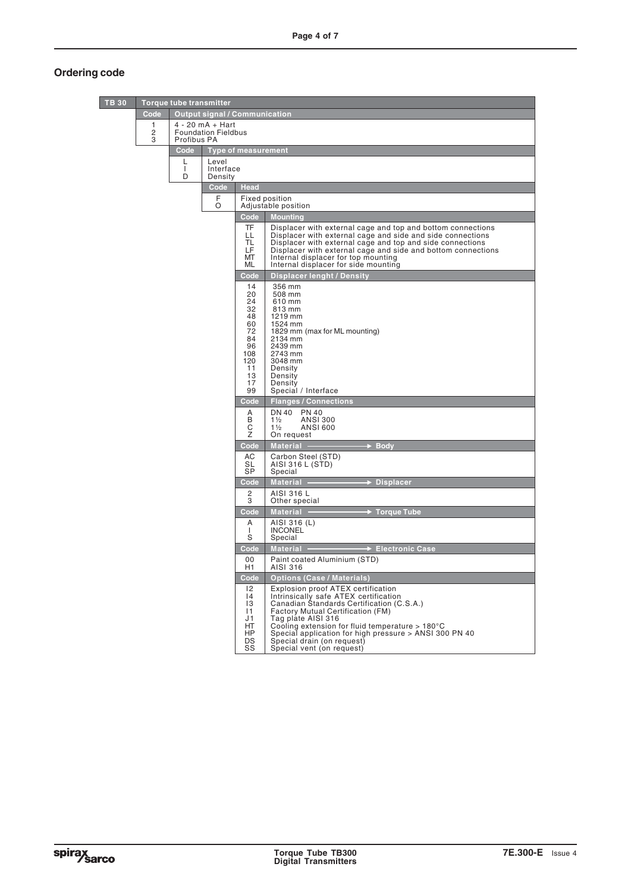# **Ordering code**

| <b>TB 30</b> |             | <b>Torque tube transmitter</b> |                                      |                                                                                                                                                                                                                                                                                             |                                                                                                                                                                                                                                                                                                                                                                                                            |  |  |  |
|--------------|-------------|--------------------------------|--------------------------------------|---------------------------------------------------------------------------------------------------------------------------------------------------------------------------------------------------------------------------------------------------------------------------------------------|------------------------------------------------------------------------------------------------------------------------------------------------------------------------------------------------------------------------------------------------------------------------------------------------------------------------------------------------------------------------------------------------------------|--|--|--|
|              | Code        |                                | <b>Output signal / Communication</b> |                                                                                                                                                                                                                                                                                             |                                                                                                                                                                                                                                                                                                                                                                                                            |  |  |  |
|              | 1<br>2<br>3 | Profibus PA                    | $4 - 20$ mA + Hart                   | <b>Foundation Fieldbus</b>                                                                                                                                                                                                                                                                  |                                                                                                                                                                                                                                                                                                                                                                                                            |  |  |  |
|              |             | Code                           |                                      | <b>Type of measurement</b>                                                                                                                                                                                                                                                                  |                                                                                                                                                                                                                                                                                                                                                                                                            |  |  |  |
|              |             | L<br>$\mathbf{I}$<br>D         | Level                                | Interface<br>Density                                                                                                                                                                                                                                                                        |                                                                                                                                                                                                                                                                                                                                                                                                            |  |  |  |
|              |             |                                | Code                                 | <b>Head</b>                                                                                                                                                                                                                                                                                 |                                                                                                                                                                                                                                                                                                                                                                                                            |  |  |  |
|              |             |                                | F<br>O                               |                                                                                                                                                                                                                                                                                             | Fixed position<br>Adjustable position                                                                                                                                                                                                                                                                                                                                                                      |  |  |  |
|              |             |                                |                                      | $\overline{\mathsf{Code}}$                                                                                                                                                                                                                                                                  | <b>Mounting</b>                                                                                                                                                                                                                                                                                                                                                                                            |  |  |  |
|              |             |                                |                                      | LL<br><b>TL</b><br>LF.<br>MT<br><b>ML</b>                                                                                                                                                                                                                                                   | <b>TF</b><br>Displacer with external cage and top and bottom connections<br>Displacer with external cage and side and side connections<br>Displacer with external cage and top and side connections<br>Displacer with external cage and side and bottom connections<br>Internal displacer for top mounting<br>Internal displacer for side mounting                                                         |  |  |  |
|              |             |                                |                                      | Code                                                                                                                                                                                                                                                                                        | Displacer lenght / Density                                                                                                                                                                                                                                                                                                                                                                                 |  |  |  |
|              |             |                                |                                      | 14<br>356 mm<br>508 mm<br>20<br>24<br>610 mm<br>32<br>813 mm<br>48<br>1219 mm<br>60<br>1524 mm<br>72<br>1829 mm (max for ML mounting)<br>84<br>2134 mm<br>96<br>2439 mm<br>108<br>2743 mm<br>120<br>3048 mm<br>11<br>Density<br>13<br>Density<br>17<br>Density<br>Special / Interface<br>99 |                                                                                                                                                                                                                                                                                                                                                                                                            |  |  |  |
|              |             |                                |                                      | Code                                                                                                                                                                                                                                                                                        | <b>Flanges / Connections</b>                                                                                                                                                                                                                                                                                                                                                                               |  |  |  |
|              |             |                                |                                      | <b>DN 40</b><br><b>PN 40</b><br>A<br>B<br><b>ANSI 300</b><br>$1\frac{1}{2}$<br>С<br><b>ANSI 600</b><br>$1\frac{1}{2}$<br>Ζ<br>On request                                                                                                                                                    |                                                                                                                                                                                                                                                                                                                                                                                                            |  |  |  |
|              |             |                                |                                      | Code                                                                                                                                                                                                                                                                                        | Material -<br><b>Body</b>                                                                                                                                                                                                                                                                                                                                                                                  |  |  |  |
|              |             |                                |                                      | АC<br>SL<br><b>SP</b>                                                                                                                                                                                                                                                                       | Carbon Steel (STD)<br>AISI 316 L (STD)<br>Special                                                                                                                                                                                                                                                                                                                                                          |  |  |  |
|              |             |                                |                                      | Code                                                                                                                                                                                                                                                                                        | <b>Displacer</b><br>Material -                                                                                                                                                                                                                                                                                                                                                                             |  |  |  |
|              |             |                                |                                      | 2<br>3                                                                                                                                                                                                                                                                                      | AISI 316 L<br>Other special                                                                                                                                                                                                                                                                                                                                                                                |  |  |  |
|              |             |                                |                                      | Code<br>A                                                                                                                                                                                                                                                                                   | <b>Torque Tube</b><br><b>Material</b>                                                                                                                                                                                                                                                                                                                                                                      |  |  |  |
|              |             |                                |                                      | J.<br>S                                                                                                                                                                                                                                                                                     | AISI 316 (L)<br><b>INCONEL</b><br>Special                                                                                                                                                                                                                                                                                                                                                                  |  |  |  |
|              |             |                                |                                      | Code                                                                                                                                                                                                                                                                                        | <b>Material</b><br><b>→ Electronic Case</b>                                                                                                                                                                                                                                                                                                                                                                |  |  |  |
|              |             |                                |                                      | 00<br>H1                                                                                                                                                                                                                                                                                    | Paint coated Aluminium (STD)<br>AISI 316                                                                                                                                                                                                                                                                                                                                                                   |  |  |  |
|              |             |                                |                                      | Code<br>$ 2\rangle$<br> 4<br> 3<br> 1<br>J1<br>HT<br>HP<br>DS<br>SS                                                                                                                                                                                                                         | <b>Options (Case / Materials)</b><br>Explosion proof ATEX certification<br>Intrinsically safe ATEX certification<br>Canadian Standards Certification (C.S.A.)<br>Factory Mutual Certification (FM)<br>Tag plate AISI 316<br>Cooling extension for fluid temperature $> 180^{\circ}$ C<br>Special application for high pressure > ANSI 300 PN 40<br>Special drain (on request)<br>Special vent (on request) |  |  |  |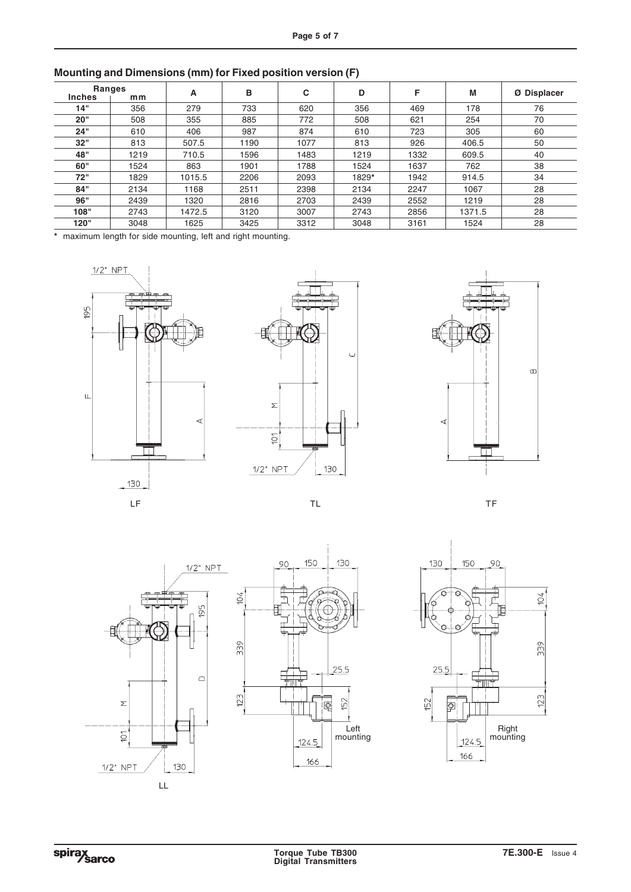| <b>Ranges</b> |      | A      | в    | С    | D     | F    | M      | Ø Displacer |
|---------------|------|--------|------|------|-------|------|--------|-------------|
| <b>Inches</b> | mm   |        |      |      |       |      |        |             |
| 14"           | 356  | 279    | 733  | 620  | 356   | 469  | 178    | 76          |
| 20"           | 508  | 355    | 885  | 772  | 508   | 621  | 254    | 70          |
| 24"           | 610  | 406    | 987  | 874  | 610   | 723  | 305    | 60          |
| 32"           | 813  | 507.5  | 1190 | 1077 | 813   | 926  | 406.5  | 50          |
| 48"           | 1219 | 710.5  | 1596 | 1483 | 1219  | 1332 | 609.5  | 40          |
| 60"           | 1524 | 863    | 1901 | 1788 | 1524  | 1637 | 762    | 38          |
| 72"           | 1829 | 1015.5 | 2206 | 2093 | 1829* | 1942 | 914.5  | 34          |
| 84"           | 2134 | 1168   | 2511 | 2398 | 2134  | 2247 | 1067   | 28          |
| 96"           | 2439 | 1320   | 2816 | 2703 | 2439  | 2552 | 1219   | 28          |
| 108"          | 2743 | 1472.5 | 3120 | 3007 | 2743  | 2856 | 1371.5 | 28          |
| 120"          | 3048 | 1625   | 3425 | 3312 | 3048  | 3161 | 1524   | 28          |

**Mounting and Dimensions (mm) for Fixed position version (F)**

**\*** maximum length for side mounting, left and right mounting.













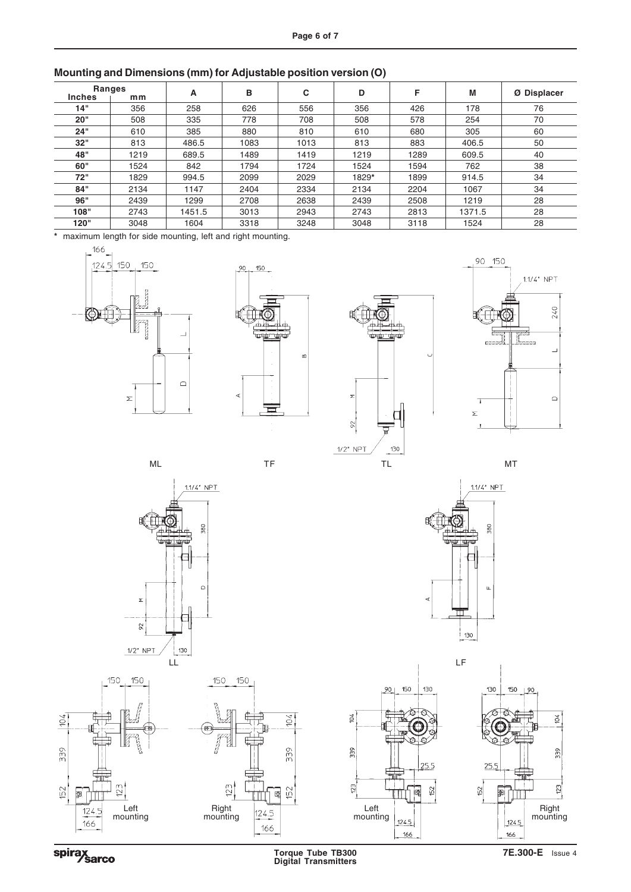| <b>Ranges</b> |      | A      | в    | C    | D     | F    | M      |             |
|---------------|------|--------|------|------|-------|------|--------|-------------|
| <b>Inches</b> | mm   |        |      |      |       |      |        | Ø Displacer |
| 14"           | 356  | 258    | 626  | 556  | 356   | 426  | 178    | 76          |
| 20"           | 508  | 335    | 778  | 708  | 508   | 578  | 254    | 70          |
| 24"           | 610  | 385    | 880  | 810  | 610   | 680  | 305    | 60          |
| 32"           | 813  | 486.5  | 1083 | 1013 | 813   | 883  | 406.5  | 50          |
| 48"           | 1219 | 689.5  | 1489 | 1419 | 1219  | 1289 | 609.5  | 40          |
| 60"           | 1524 | 842    | 1794 | 1724 | 1524  | 1594 | 762    | 38          |
| 72"           | 1829 | 994.5  | 2099 | 2029 | 1829* | 1899 | 914.5  | 34          |
| 84"           | 2134 | 1147   | 2404 | 2334 | 2134  | 2204 | 1067   | 34          |
| 96"           | 2439 | 1299   | 2708 | 2638 | 2439  | 2508 | 1219   | 28          |
| 108"          | 2743 | 1451.5 | 3013 | 2943 | 2743  | 2813 | 1371.5 | 28          |
| 120"          | 3048 | 1604   | 3318 | 3248 | 3048  | 3118 | 1524   | 28          |

## **Mounting and Dimensions (mm) for Adjustable position version (O)**

**\*** maximum length for side mounting, left and right mounting.



















spirax<br>Sarco

**Torque Tube TB300 7E.300-E** Issue 4 **Digital Transmitters**